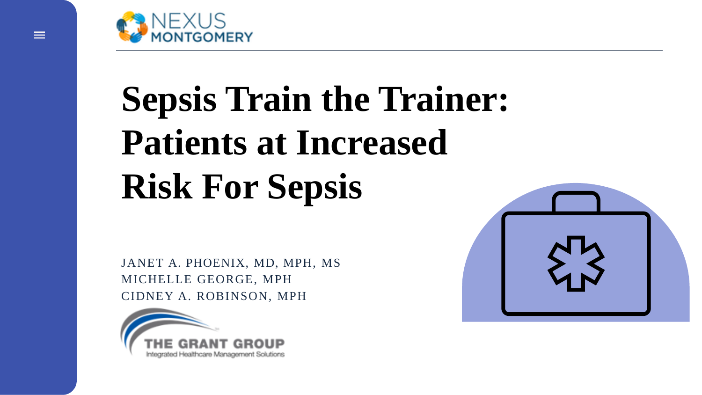

# **Sepsis Train the Trainer: Patients at Increased Risk For Sepsis**

JANET A. PHOENIX, MD, MPH, MS MICHELLE GEORGE, MPH CIDNEY A. ROBINSON, MPH



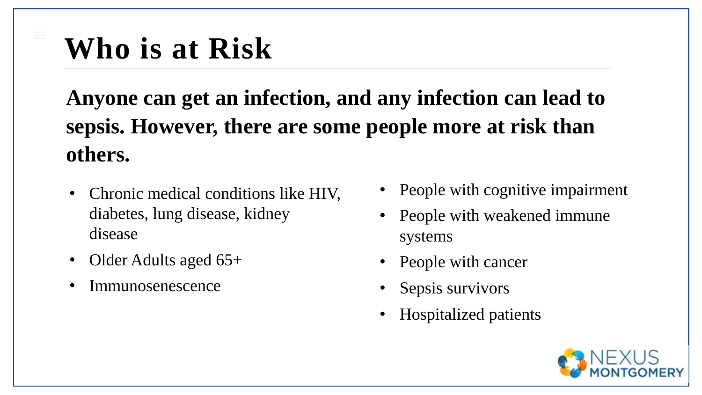**Anyone can get an infection, and any infection can lead to sepsis. However, there are some people more at risk than others.**

- Chronic medical conditions like HIV, diabetes, lung disease, kidney disease
- Older Adults aged 65+
- Immunosenescence
- People with cognitive impairment
- People with weakened immune systems
- People with cancer
- Sepsis survivors
- Hospitalized patients

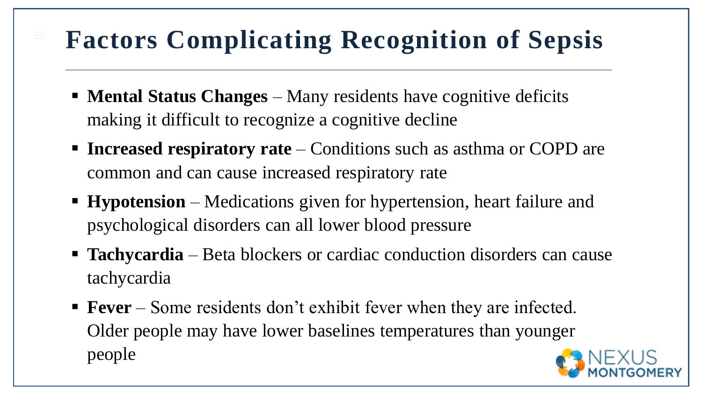#### **Factors Complicating Recognition of Sepsis**

- **EXECUTE:** Mental Status Changes Many residents have cognitive deficits making it difficult to recognize a cognitive decline
- **Increased respiratory rate** Conditions such as asthma or COPD are common and can cause increased respiratory rate
- **Hypotension** Medications given for hypertension, heart failure and psychological disorders can all lower blood pressure
- **Tachycardia** Beta blockers or cardiac conduction disorders can cause tachycardia
- **Fever** Some residents don't exhibit fever when they are infected. Older people may have lower baselines temperatures than younger people

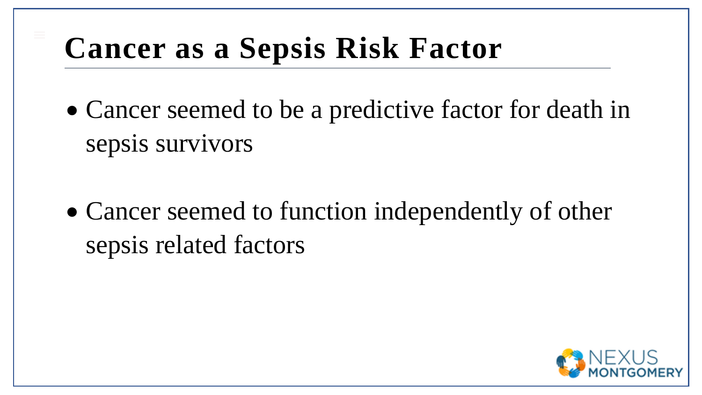#### **Cancer as a Sepsis Risk Factor**

- Cancer seemed to be a predictive factor for death in sepsis survivors
- Cancer seemed to function independently of other sepsis related factors

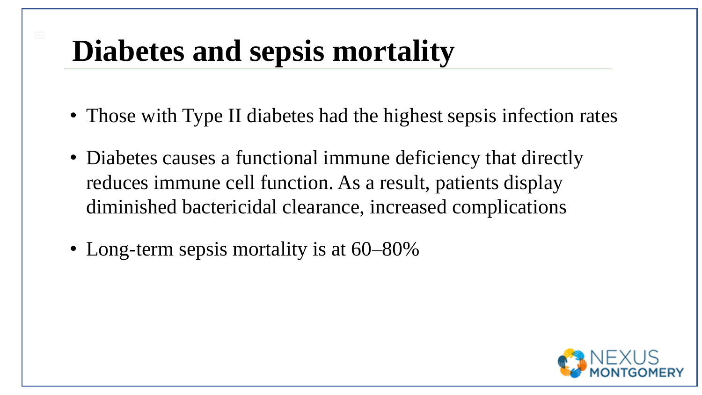#### **Diabetes and sepsis mortality**

- Those with Type II diabetes had the highest sepsis infection rates
- Diabetes causes a functional immune deficiency that directly reduces immune cell function. As a result, patients display diminished bactericidal clearance, increased complications
- Long-term sepsis mortality is at  $60-80\%$

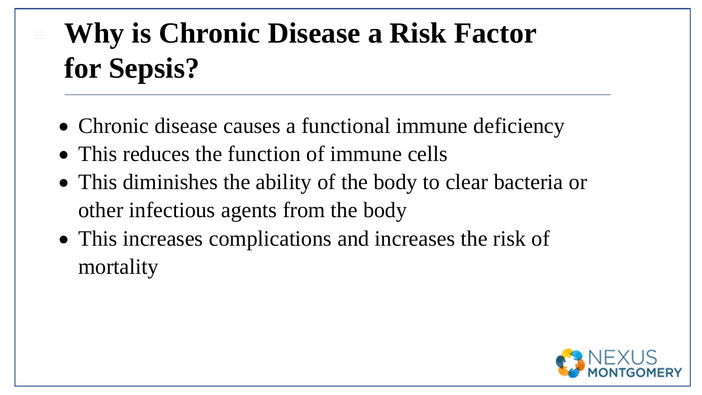# **Why is Chronic Disease a Risk Factor for Sepsis?**

- Chronic disease causes a functional immune deficiency
- This reduces the function of immune cells
- This diminishes the ability of the body to clear bacteria or other infectious agents from the body
- This increases complications and increases the risk of mortality

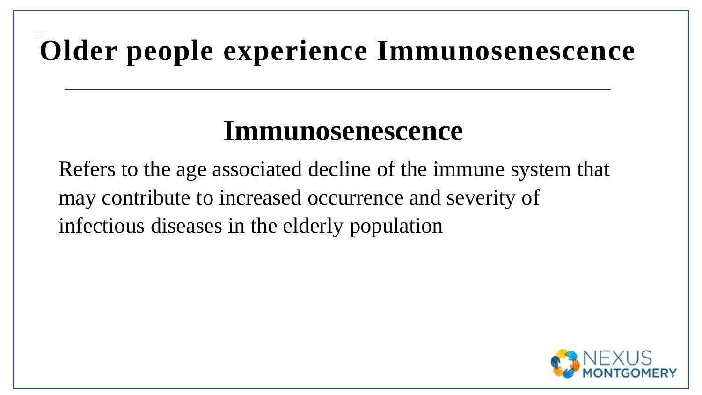# **Older people experience Immunosenescence**

#### **Immunosenescence**

Refers to the age associated decline of the immune system that may contribute to increased occurrence and severity of infectious diseases in the elderly population

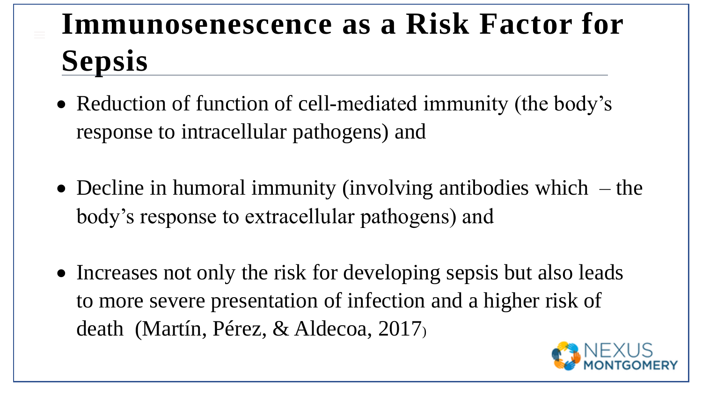## **Immunosenescence as a Risk Factor for Sepsis**

- Reduction of function of cell-mediated immunity (the body's response to intracellular pathogens) and
- Decline in humoral immunity (involving antibodies which  $-$  the body's response to extracellular pathogens) and
- Increases not only the risk for developing sepsis but also leads to more severe presentation of infection and a higher risk of death (Martín, Pérez, & Aldecoa, 2017)